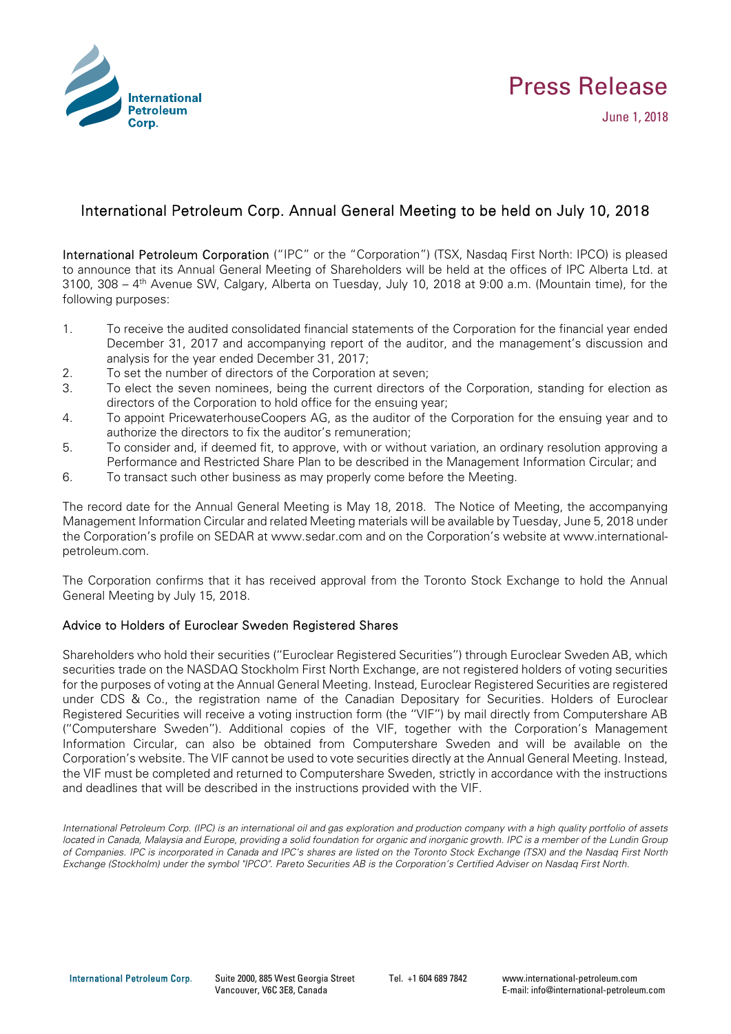



June 1, 2018

## International Petroleum Corp. Annual General Meeting to be held on July 10, 2018

International Petroleum Corporation ("IPC" or the "Corporation") (TSX, Nasdaq First North: IPCO) is pleased to announce that its Annual General Meeting of Shareholders will be held at the offices of IPC Alberta Ltd. at 3100, 308 – 4th Avenue SW, Calgary, Alberta on Tuesday, July 10, 2018 at 9:00 a.m. (Mountain time), for the following purposes:

- 1. To receive the audited consolidated financial statements of the Corporation for the financial year ended December 31, 2017 and accompanying report of the auditor, and the management's discussion and analysis for the year ended December 31, 2017;
- 2. To set the number of directors of the Corporation at seven;
- 3. To elect the seven nominees, being the current directors of the Corporation, standing for election as directors of the Corporation to hold office for the ensuing year;
- 4. To appoint PricewaterhouseCoopers AG, as the auditor of the Corporation for the ensuing year and to authorize the directors to fix the auditor's remuneration;
- 5. To consider and, if deemed fit, to approve, with or without variation, an ordinary resolution approving a Performance and Restricted Share Plan to be described in the Management Information Circular; and
- 6. To transact such other business as may properly come before the Meeting.

The record date for the Annual General Meeting is May 18, 2018. The Notice of Meeting, the accompanying Management Information Circular and related Meeting materials will be available by Tuesday, June 5, 2018 under the Corporation's profile on SEDAR at www.sedar.com and on the Corporation's website at www.internationalpetroleum.com.

The Corporation confirms that it has received approval from the Toronto Stock Exchange to hold the Annual General Meeting by July 15, 2018.

## Advice to Holders of Euroclear Sweden Registered Shares

Shareholders who hold their securities (''Euroclear Registered Securities'') through Euroclear Sweden AB, which securities trade on the NASDAQ Stockholm First North Exchange, are not registered holders of voting securities for the purposes of voting at the Annual General Meeting. Instead, Euroclear Registered Securities are registered under CDS & Co., the registration name of the Canadian Depositary for Securities. Holders of Euroclear Registered Securities will receive a voting instruction form (the ''VIF'') by mail directly from Computershare AB (''Computershare Sweden''). Additional copies of the VIF, together with the Corporation's Management Information Circular, can also be obtained from Computershare Sweden and will be available on the Corporation's website. The VIF cannot be used to vote securities directly at the Annual General Meeting. Instead, the VIF must be completed and returned to Computershare Sweden, strictly in accordance with the instructions and deadlines that will be described in the instructions provided with the VIF.

*International Petroleum Corp. (IPC) is an international oil and gas exploration and production company with a high quality portfolio of assets located in Canada, Malaysia and Europe, providing a solid foundation for organic and inorganic growth. IPC is a member of the Lundin Group of Companies. IPC is incorporated in Canada and IPC's shares are listed on the Toronto Stock Exchange (TSX) and the Nasdaq First North Exchange (Stockholm) under the symbol "IPCO". Pareto Securities AB is the Corporation's Certified Adviser on Nasdaq First North.* 

International Petroleum Corp. Suite 2000, 885 West Georgia Street Vancouver, V6C 3E8, Canada